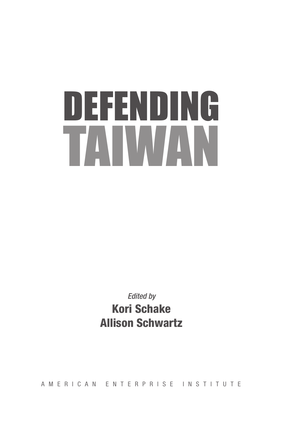*Edited by* Kori Schake Allison Schwartz

AMERICAN ENTERPRISE INSTITUTE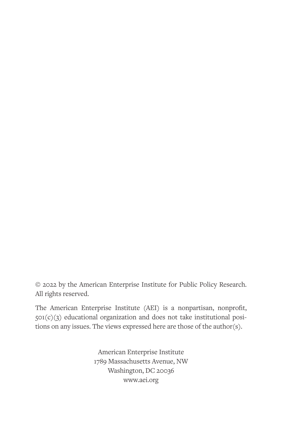© 2022 by the American Enterprise Institute for Public Policy Research. All rights reserved.

The American Enterprise Institute (AEI) is a nonpartisan, nonprofit, 501(c)(3) educational organization and does not take institutional positions on any issues. The views expressed here are those of the author(s).

> American Enterprise Institute 1789 Massachusetts Avenue, NW Washington, DC 20036 www.aei.org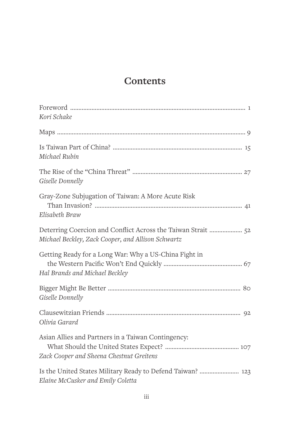### **Contents**

| Kori Schake                                                                                     |
|-------------------------------------------------------------------------------------------------|
|                                                                                                 |
| Michael Rubin                                                                                   |
| Giselle Donnelly                                                                                |
| Gray-Zone Subjugation of Taiwan: A More Acute Risk<br>Elisabeth Braw                            |
| Michael Beckley, Zack Cooper, and Allison Schwartz                                              |
| Getting Ready for a Long War: Why a US-China Fight in<br>Hal Brands and Michael Beckley         |
| Giselle Donnelly                                                                                |
| Olivia Garard                                                                                   |
| Asian Allies and Partners in a Taiwan Contingency:<br>Zack Cooper and Sheena Chestnut Greitens  |
| Is the United States Military Ready to Defend Taiwan?  123<br>Elaine McCusker and Emily Coletta |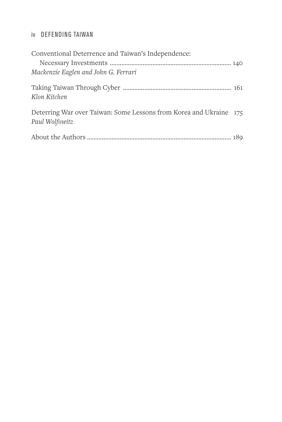| Conventional Deterrence and Taiwan's Independence:                                   |  |
|--------------------------------------------------------------------------------------|--|
|                                                                                      |  |
| Mackenzie Eaglen and John G. Ferrari                                                 |  |
| Klon Kitchen                                                                         |  |
| Deterring War over Taiwan: Some Lessons from Korea and Ukraine 175<br>Paul Wolfowitz |  |
|                                                                                      |  |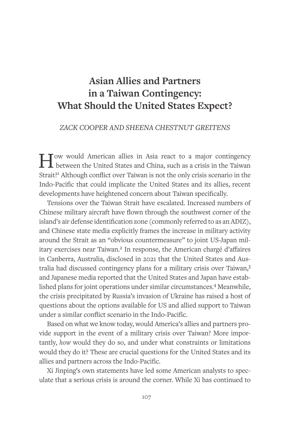## **Asian Allies and Partners in a Taiwan Contingency: What Should the United States Expect?**

#### *ZACK COOPER AND SHEENA CHESTNUT GREITENS*

How would American allies in Asia react to a major contingency between the United States and China, such as a crisis in the Taiwan Strait?<sup>1</sup> Although conflict over Taiwan is not the only crisis scenario in the Indo-Pacific that could implicate the United States and its allies, recent developments have heightened concern about Taiwan specifically.

Tensions over the Taiwan Strait have escalated. Increased numbers of Chinese military aircraft have flown through the southwest corner of the island's air defense identification zone (commonly referred to as an ADIZ), and Chinese state media explicitly frames the increase in military activity around the Strait as an "obvious countermeasure" to joint US-Japan military exercises near Taiwan.<sup>2</sup> In response, the American chargé d'affaires in Canberra, Australia, disclosed in 2021 that the United States and Australia had discussed contingency plans for a military crisis over Taiwan,3 and Japanese media reported that the United States and Japan have established plans for joint operations under similar circumstances.4 Meanwhile, the crisis precipitated by Russia's invasion of Ukraine has raised a host of questions about the options available for US and allied support to Taiwan under a similar conflict scenario in the Indo-Pacific.

Based on what we know today, would America's allies and partners provide support in the event of a military crisis over Taiwan? More importantly, *how* would they do so, and under what constraints or limitations would they do it? These are crucial questions for the United States and its allies and partners across the Indo-Pacific.

Xi Jinping's own statements have led some American analysts to speculate that a serious crisis is around the corner. While Xi has continued to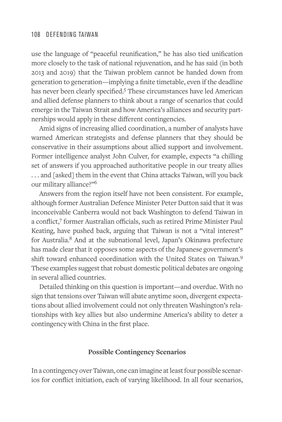use the language of "peaceful reunification," he has also tied unification more closely to the task of national rejuvenation, and he has said (in both 2013 and 2019) that the Taiwan problem cannot be handed down from generation to generation—implying a finite timetable, even if the deadline has never been clearly specified.<sup>5</sup> These circumstances have led American and allied defense planners to think about a range of scenarios that could emerge in the Taiwan Strait and how America's alliances and security partnerships would apply in these different contingencies.

Amid signs of increasing allied coordination, a number of analysts have warned American strategists and defense planners that they should be conservative in their assumptions about allied support and involvement. Former intelligence analyst John Culver, for example, expects "a chilling set of answers if you approached authoritative people in our treaty allies . . . and [asked] them in the event that China attacks Taiwan, will you back our military alliance?"6

Answers from the region itself have not been consistent. For example, although former Australian Defence Minister Peter Dutton said that it was inconceivable Canberra would not back Washington to defend Taiwan in a conflict,7 former Australian officials, such as retired Prime Minister Paul Keating, have pushed back, arguing that Taiwan is not a "vital interest" for Australia.8 And at the subnational level, Japan's Okinawa prefecture has made clear that it opposes some aspects of the Japanese government's shift toward enhanced coordination with the United States on Taiwan.<sup>9</sup> These examples suggest that robust domestic political debates are ongoing in several allied countries.

Detailed thinking on this question is important—and overdue. With no sign that tensions over Taiwan will abate anytime soon, divergent expectations about allied involvement could not only threaten Washington's relationships with key allies but also undermine America's ability to deter a contingency with China in the first place.

#### **Possible Contingency Scenarios**

In a contingency over Taiwan, one can imagine at least four possible scenarios for conflict initiation, each of varying likelihood. In all four scenarios,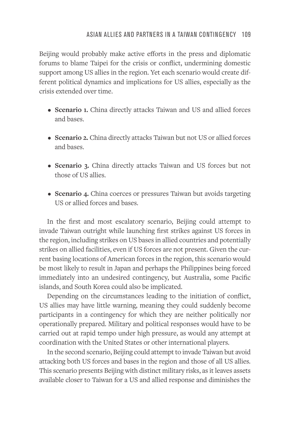Beijing would probably make active efforts in the press and diplomatic forums to blame Taipei for the crisis or conflict, undermining domestic support among US allies in the region. Yet each scenario would create different political dynamics and implications for US allies, especially as the crisis extended over time.

- **Scenario 1.** China directly attacks Taiwan and US and allied forces and bases.
- **Scenario 2.** China directly attacks Taiwan but not US or allied forces and bases.
- **Scenario 3.** China directly attacks Taiwan and US forces but not those of US allies.
- **Scenario 4.** China coerces or pressures Taiwan but avoids targeting US or allied forces and bases.

In the first and most escalatory scenario, Beijing could attempt to invade Taiwan outright while launching first strikes against US forces in the region, including strikes on US bases in allied countries and potentially strikes on allied facilities, even if US forces are not present. Given the current basing locations of American forces in the region, this scenario would be most likely to result in Japan and perhaps the Philippines being forced immediately into an undesired contingency, but Australia, some Pacific islands, and South Korea could also be implicated.

Depending on the circumstances leading to the initiation of conflict, US allies may have little warning, meaning they could suddenly become participants in a contingency for which they are neither politically nor operationally prepared. Military and political responses would have to be carried out at rapid tempo under high pressure, as would any attempt at coordination with the United States or other international players.

In the second scenario, Beijing could attempt to invade Taiwan but avoid attacking both US forces and bases in the region and those of all US allies. This scenario presents Beijing with distinct military risks, as it leaves assets available closer to Taiwan for a US and allied response and diminishes the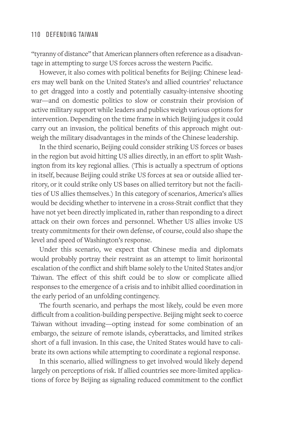"tyranny of distance" that American planners often reference as a disadvantage in attempting to surge US forces across the western Pacific.

However, it also comes with political benefits for Beijing: Chinese leaders may well bank on the United States's and allied countries' reluctance to get dragged into a costly and potentially casualty-intensive shooting war—and on domestic politics to slow or constrain their provision of active military support while leaders and publics weigh various options for intervention. Depending on the time frame in which Beijing judges it could carry out an invasion, the political benefits of this approach might outweigh the military disadvantages in the minds of the Chinese leadership.

In the third scenario, Beijing could consider striking US forces or bases in the region but avoid hitting US allies directly, in an effort to split Washington from its key regional allies. (This is actually a spectrum of options in itself, because Beijing could strike US forces at sea or outside allied territory, or it could strike only US bases on allied territory but not the facilities of US allies themselves.) In this category of scenarios, America's allies would be deciding whether to intervene in a cross-Strait conflict that they have not yet been directly implicated in, rather than responding to a direct attack on their own forces and personnel. Whether US allies invoke US treaty commitments for their own defense, of course, could also shape the level and speed of Washington's response.

Under this scenario, we expect that Chinese media and diplomats would probably portray their restraint as an attempt to limit horizontal escalation of the conflict and shift blame solely to the United States and/or Taiwan. The effect of this shift could be to slow or complicate allied responses to the emergence of a crisis and to inhibit allied coordination in the early period of an unfolding contingency.

The fourth scenario, and perhaps the most likely, could be even more difficult from a coalition-building perspective. Beijing might seek to coerce Taiwan without invading—opting instead for some combination of an embargo, the seizure of remote islands, cyberattacks, and limited strikes short of a full invasion. In this case, the United States would have to calibrate its own actions while attempting to coordinate a regional response.

In this scenario, allied willingness to get involved would likely depend largely on perceptions of risk. If allied countries see more-limited applications of force by Beijing as signaling reduced commitment to the conflict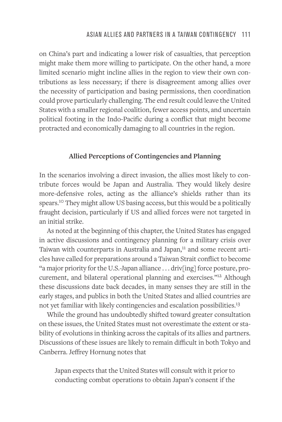on China's part and indicating a lower risk of casualties, that perception might make them more willing to participate. On the other hand, a more limited scenario might incline allies in the region to view their own contributions as less necessary; if there is disagreement among allies over the necessity of participation and basing permissions, then coordination could prove particularly challenging. The end result could leave the United States with a smaller regional coalition, fewer access points, and uncertain political footing in the Indo-Pacific during a conflict that might become protracted and economically damaging to all countries in the region.

#### **Allied Perceptions of Contingencies and Planning**

In the scenarios involving a direct invasion, the allies most likely to contribute forces would be Japan and Australia. They would likely desire more-defensive roles, acting as the alliance's shields rather than its spears.10 They might allow US basing access, but this would be a politically fraught decision, particularly if US and allied forces were not targeted in an initial strike.

As noted at the beginning of this chapter, the United States has engaged in active discussions and contingency planning for a military crisis over Taiwan with counterparts in Australia and Japan,<sup>11</sup> and some recent articles have called for preparations around a Taiwan Strait conflict to become "a major priority for the U.S.-Japan alliance . . . driv[ing] force posture, procurement, and bilateral operational planning and exercises."12 Although these discussions date back decades, in many senses they are still in the early stages, and publics in both the United States and allied countries are not yet familiar with likely contingencies and escalation possibilities.13

While the ground has undoubtedly shifted toward greater consultation on these issues, the United States must not overestimate the extent or stability of evolutions in thinking across the capitals of its allies and partners. Discussions of these issues are likely to remain difficult in both Tokyo and Canberra. Jeffrey Hornung notes that

Japan expects that the United States will consult with it prior to conducting combat operations to obtain Japan's consent if the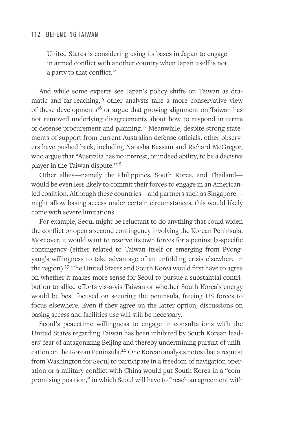United States is considering using its bases in Japan to engage in armed conflict with another country when Japan itself is not a party to that conflict.<sup>14</sup>

And while some experts see Japan's policy shifts on Taiwan as dramatic and far-reaching, 15 other analysts take a more conservative view of these developments<sup>16</sup> or argue that growing alignment on Taiwan has not removed underlying disagreements about how to respond in terms of defense procurement and planning.17 Meanwhile, despite strong statements of support from current Australian defense officials, other observers have pushed back, including Natasha Kassam and Richard McGregor, who argue that "Australia has no interest, or indeed ability, to be a decisive player in the Taiwan dispute."18

Other allies—namely the Philippines, South Korea, and Thailand would be even less likely to commit their forces to engage in an Americanled coalition. Although these countries—and partners such as Singapore might allow basing access under certain circumstances, this would likely come with severe limitations.

For example, Seoul might be reluctant to do anything that could widen the conflict or open a second contingency involving the Korean Peninsula. Moreover, it would want to reserve its own forces for a peninsula-specific contingency (either related to Taiwan itself or emerging from Pyongyang's willingness to take advantage of an unfolding crisis elsewhere in the region).<sup>19</sup> The United States and South Korea would first have to agree on whether it makes more sense for Seoul to pursue a substantial contribution to allied efforts vis-à-vis Taiwan or whether South Korea's energy would be best focused on securing the peninsula, freeing US forces to focus elsewhere. Even if they agree on the latter option, discussions on basing access and facilities use will still be necessary.

Seoul's peacetime willingness to engage in consultations with the United States regarding Taiwan has been inhibited by South Korean leaders' fear of antagonizing Beijing and thereby undermining pursuit of unification on the Korean Peninsula.20 One Korean analysis notes that a request from Washington for Seoul to participate in a freedom of navigation operation or a military conflict with China would put South Korea in a "compromising position," in which Seoul will have to "reach an agreement with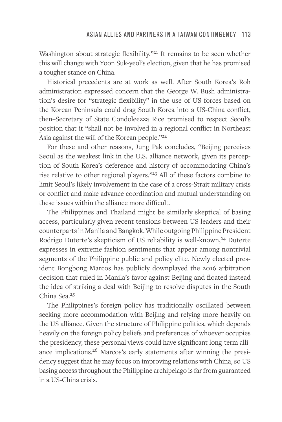Washington about strategic flexibility."<sup>21</sup> It remains to be seen whether this will change with Yoon Suk-yeol's election, given that he has promised a tougher stance on China.

Historical precedents are at work as well. After South Korea's Roh administration expressed concern that the George W. Bush administration's desire for "strategic flexibility" in the use of US forces based on the Korean Peninsula could drag South Korea into a US-China conflict, then–Secretary of State Condoleezza Rice promised to respect Seoul's position that it "shall not be involved in a regional conflict in Northeast Asia against the will of the Korean people."22

For these and other reasons, Jung Pak concludes, "Beijing perceives Seoul as the weakest link in the U.S. alliance network, given its perception of South Korea's deference and history of accommodating China's rise relative to other regional players."23 All of these factors combine to limit Seoul's likely involvement in the case of a cross-Strait military crisis or conflict and make advance coordination and mutual understanding on these issues within the alliance more difficult.

The Philippines and Thailand might be similarly skeptical of basing access, particularly given recent tensions between US leaders and their counterparts in Manila and Bangkok. While outgoing Philippine President Rodrigo Duterte's skepticism of US reliability is well-known, 24 Duterte expresses in extreme fashion sentiments that appear among nontrivial segments of the Philippine public and policy elite. Newly elected president Bongbong Marcos has publicly downplayed the 2016 arbitration decision that ruled in Manila's favor against Beijing and floated instead the idea of striking a deal with Beijing to resolve disputes in the South China Sea.25

The Philippines's foreign policy has traditionally oscillated between seeking more accommodation with Beijing and relying more heavily on the US alliance. Given the structure of Philippine politics, which depends heavily on the foreign policy beliefs and preferences of whoever occupies the presidency, these personal views could have significant long-term alliance implications.26 Marcos's early statements after winning the presidency suggest that he may focus on improving relations with China, so US basing access throughout the Philippine archipelago is far from guaranteed in a US-China crisis.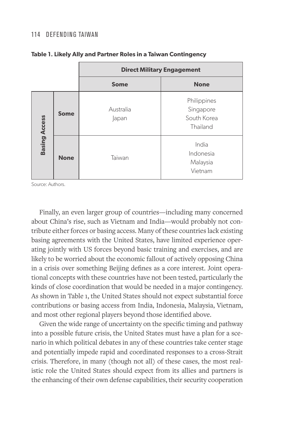|                      |             | <b>Direct Military Engagement</b> |                                                     |  |
|----------------------|-------------|-----------------------------------|-----------------------------------------------------|--|
|                      |             | <b>Some</b>                       | <b>None</b>                                         |  |
| <b>Basing Access</b> | <b>Some</b> | Australia<br>Japan                | Philippines<br>Singapore<br>South Korea<br>Thailand |  |
|                      | <b>None</b> | Taiwan                            | India<br>Indonesia<br>Malaysia<br>Vietnam           |  |

#### **Table 1. Likely Ally and Partner Roles in a Taiwan Contingency**

Source: Authors.

Finally, an even larger group of countries—including many concerned about China's rise, such as Vietnam and India—would probably not contribute either forces or basing access. Many of these countries lack existing basing agreements with the United States, have limited experience operating jointly with US forces beyond basic training and exercises, and are likely to be worried about the economic fallout of actively opposing China in a crisis over something Beijing defines as a core interest. Joint operational concepts with these countries have not been tested, particularly the kinds of close coordination that would be needed in a major contingency. As shown in Table 1, the United States should not expect substantial force contributions or basing access from India, Indonesia, Malaysia, Vietnam, and most other regional players beyond those identified above.

Given the wide range of uncertainty on the specific timing and pathway into a possible future crisis, the United States must have a plan for a scenario in which political debates in any of these countries take center stage and potentially impede rapid and coordinated responses to a cross-Strait crisis. Therefore, in many (though not all) of these cases, the most realistic role the United States should expect from its allies and partners is the enhancing of their own defense capabilities, their security cooperation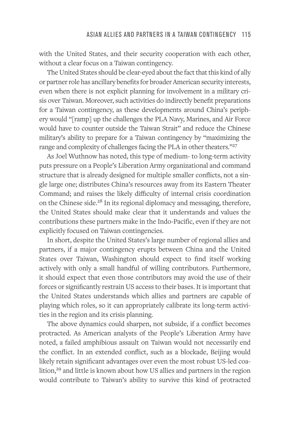with the United States, and their security cooperation with each other, without a clear focus on a Taiwan contingency.

The United States should be clear-eyed about the fact that this kind of ally or partner role has ancillary benefits for broader American security interests, even when there is not explicit planning for involvement in a military crisis over Taiwan. Moreover, such activities do indirectly benefit preparations for a Taiwan contingency, as these developments around China's periphery would "[ramp] up the challenges the PLA Navy, Marines, and Air Force would have to counter outside the Taiwan Strait" and reduce the Chinese military's ability to prepare for a Taiwan contingency by "maximizing the range and complexity of challenges facing the PLA in other theaters."27

As Joel Wuthnow has noted, this type of medium- to long-term activity puts pressure on a People's Liberation Army organizational and command structure that is already designed for multiple smaller conflicts, not a single large one; distributes China's resources away from its Eastern Theater Command; and raises the likely difficulty of internal crisis coordination on the Chinese side.28 In its regional diplomacy and messaging, therefore, the United States should make clear that it understands and values the contributions these partners make in the Indo-Pacific, even if they are not explicitly focused on Taiwan contingencies.

In short, despite the United States's large number of regional allies and partners, if a major contingency erupts between China and the United States over Taiwan, Washington should expect to find itself working actively with only a small handful of willing contributors. Furthermore, it should expect that even those contributors may avoid the use of their forces or significantly restrain US access to their bases. It is important that the United States understands which allies and partners are capable of playing which roles, so it can appropriately calibrate its long-term activities in the region and its crisis planning.

The above dynamics could sharpen, not subside, if a conflict becomes protracted. As American analysts of the People's Liberation Army have noted, a failed amphibious assault on Taiwan would not necessarily end the conflict. In an extended conflict, such as a blockade, Beijing would likely retain significant advantages over even the most robust US-led coalition,<sup>29</sup> and little is known about how US allies and partners in the region would contribute to Taiwan's ability to survive this kind of protracted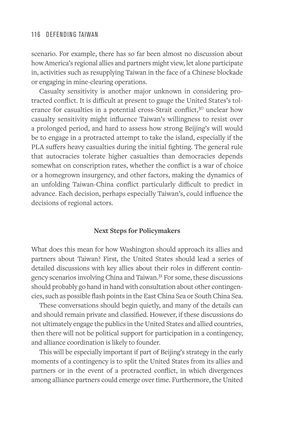scenario. For example, there has so far been almost no discussion about how America's regional allies and partners might view, let alone participate in, activities such as resupplying Taiwan in the face of a Chinese blockade or engaging in mine-clearing operations.

Casualty sensitivity is another major unknown in considering protracted conflict. It is difficult at present to gauge the United States's tolerance for casualties in a potential cross-Strait conflict,<sup>30</sup> unclear how casualty sensitivity might influence Taiwan's willingness to resist over a prolonged period, and hard to assess how strong Beijing's will would be to engage in a protracted attempt to take the island, especially if the PLA suffers heavy casualties during the initial fighting. The general rule that autocracies tolerate higher casualties than democracies depends somewhat on conscription rates, whether the conflict is a war of choice or a homegrown insurgency, and other factors, making the dynamics of an unfolding Taiwan-China conflict particularly difficult to predict in advance. Each decision, perhaps especially Taiwan's, could influence the decisions of regional actors.

#### **Next Steps for Policymakers**

What does this mean for how Washington should approach its allies and partners about Taiwan? First, the United States should lead a series of detailed discussions with key allies about their roles in different contingency scenarios involving China and Taiwan.31 For some, these discussions should probably go hand in hand with consultation about other contingencies, such as possible flash points in the East China Sea or South China Sea.

These conversations should begin quietly, and many of the details can and should remain private and classified. However, if these discussions do not ultimately engage the publics in the United States and allied countries, then there will not be political support for participation in a contingency, and alliance coordination is likely to founder.

This will be especially important if part of Beijing's strategy in the early moments of a contingency is to split the United States from its allies and partners or in the event of a protracted conflict, in which divergences among alliance partners could emerge over time. Furthermore, the United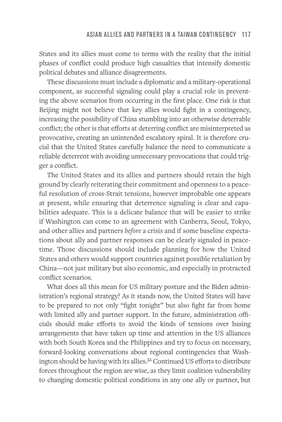States and its allies must come to terms with the reality that the initial phases of conflict could produce high casualties that intensify domestic political debates and alliance disagreements.

These discussions must include a diplomatic and a military-operational component, as successful signaling could play a crucial role in preventing the above scenarios from occurring in the first place. One risk is that Beijing might not believe that key allies would fight in a contingency, increasing the possibility of China stumbling into an otherwise deterrable conflict; the other is that efforts at deterring conflict are misinterpreted as provocative, creating an unintended escalatory spiral. It is therefore crucial that the United States carefully balance the need to communicate a reliable deterrent with avoiding unnecessary provocations that could trigger a conflict.

The United States and its allies and partners should retain the high ground by clearly reiterating their commitment and openness to a peaceful resolution of cross-Strait tensions, however improbable one appears at present, while ensuring that deterrence signaling is clear and capabilities adequate. This is a delicate balance that will be easier to strike if Washington can come to an agreement with Canberra, Seoul, Tokyo, and other allies and partners *before* a crisis and if some baseline expectations about ally and partner responses can be clearly signaled in peacetime. Those discussions should include planning for how the United States and others would support countries against possible retaliation by China—not just military but also economic, and especially in protracted conflict scenarios.

What does all this mean for US military posture and the Biden administration's regional strategy? As it stands now, the United States will have to be prepared to not only "fight tonight" but also fight far from home with limited ally and partner support. In the future, administration officials should make efforts to avoid the kinds of tensions over basing arrangements that have taken up time and attention in the US alliances with both South Korea and the Philippines and try to focus on necessary, forward-looking conversations about regional contingencies that Washington should be having with its allies.32 Continued US efforts to distribute forces throughout the region are wise, as they limit coalition vulnerability to changing domestic political conditions in any one ally or partner, but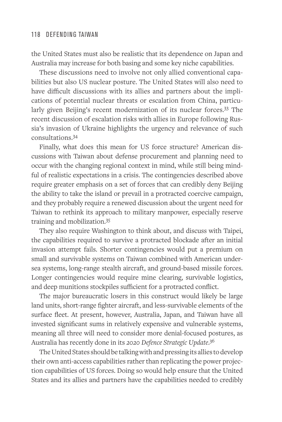the United States must also be realistic that its dependence on Japan and Australia may increase for both basing and some key niche capabilities.

These discussions need to involve not only allied conventional capabilities but also US nuclear posture. The United States will also need to have difficult discussions with its allies and partners about the implications of potential nuclear threats or escalation from China, particularly given Beijing's recent modernization of its nuclear forces.33 The recent discussion of escalation risks with allies in Europe following Russia's invasion of Ukraine highlights the urgency and relevance of such consultations.34

Finally, what does this mean for US force structure? American discussions with Taiwan about defense procurement and planning need to occur with the changing regional context in mind, while still being mindful of realistic expectations in a crisis. The contingencies described above require greater emphasis on a set of forces that can credibly deny Beijing the ability to take the island or prevail in a protracted coercive campaign, and they probably require a renewed discussion about the urgent need for Taiwan to rethink its approach to military manpower, especially reserve training and mobilization.35

They also require Washington to think about, and discuss with Taipei, the capabilities required to survive a protracted blockade after an initial invasion attempt fails. Shorter contingencies would put a premium on small and survivable systems on Taiwan combined with American undersea systems, long-range stealth aircraft, and ground-based missile forces. Longer contingencies would require mine clearing, survivable logistics, and deep munitions stockpiles sufficient for a protracted conflict.

The major bureaucratic losers in this construct would likely be large land units, short-range fighter aircraft, and less-survivable elements of the surface fleet. At present, however, Australia, Japan, and Taiwan have all invested significant sums in relatively expensive and vulnerable systems, meaning all three will need to consider more denial-focused postures, as Australia has recently done in its *2020 Defence Strategic Update*. 36

The United States should be talking with and pressing its allies to develop their own anti-access capabilities rather than replicating the power projection capabilities of US forces. Doing so would help ensure that the United States and its allies and partners have the capabilities needed to credibly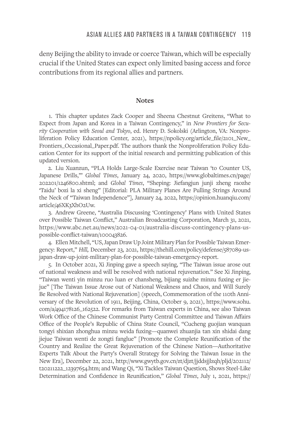deny Beijing the ability to invade or coerce Taiwan, which will be especially crucial if the United States can expect only limited basing access and force contributions from its regional allies and partners.

#### **Notes**

1. This chapter updates Zack Cooper and Sheena Chestnut Greitens, "What to Expect from Japan and Korea in a Taiwan Contingency," in *New Frontiers for Security Cooperation with Seoul and Tokyo*, ed. Henry D. Sokolski (Arlington, VA: Nonproliferation Policy Education Center, 2021), https://npolicy.org/article\_file/2101\_New\_ Frontiers\_Occasional\_Paper.pdf. The authors thank the Nonproliferation Policy Education Center for its support of the initial research and permitting publication of this updated version.

2. Liu Xuanzun, "PLA Holds Large-Scale Exercise near Taiwan 'to Counter US, Japanese Drills,'" *Global Times*, January 24, 2020, [https://www.globaltimes.cn/page/](https://www.globaltimes.cn/page/202201/1246800.shtml) [202201/1246800.shtml;](https://www.globaltimes.cn/page/202201/1246800.shtml) and *Global Times*, "Sheping: Jiefangjun junji zheng raozhe 'Taidu' bozi la xi sheng" [Editorial: PLA Military Planes Are Pulling Strings Around the Neck of "Taiwan Independence"], January 24, 2022, [https://opinion.huanqiu.com/](https://opinion.huanqiu.com/article/46XK3XhO2Uw) [article/46XK3XhO2Uw.](https://opinion.huanqiu.com/article/46XK3XhO2Uw)

3. Andrew Greene, "Australia Discussing 'Contingency' Plans with United States over Possible Taiwan Conflict," Australian Broadcasting Corporation*,* March 31, 2021, [https://www.abc.net.au/news/2021-04-01/australia-discuss-contingency-plans-us](https://www.abc.net.au/news/2021-04-01/australia-discuss-contingency-plans-us-possible-conflict-taiwan/100043826)[possible-conflict-taiwan/100043826.](https://www.abc.net.au/news/2021-04-01/australia-discuss-contingency-plans-us-possible-conflict-taiwan/100043826)

4. Ellen Mitchell, "US, Japan Draw Up Joint Military Plan for Possible Taiwan Emergency: Report," *Hill,* December 23, 2021, [https://thehill.com/policy/defense/587089-us](https://thehill.com/policy/defense/587089-us-japan-draw-up-joint-military-plan-for-possible-taiwan-emergency-report)[japan-draw-up-joint-military-plan-for-possible-taiwan-emergency-report.](https://thehill.com/policy/defense/587089-us-japan-draw-up-joint-military-plan-for-possible-taiwan-emergency-report)

5. In October 2021, Xi Jinping gave a speech saying, "The Taiwan issue arose out of national weakness and will be resolved with national rejuvenation." See Xi Jinping, "Taiwan wenti yin minzu ruo luan er chansheng, bijiang suizhe minzu fuxing er jiejue" [The Taiwan Issue Arose out of National Weakness and Chaos, and Will Surely Be Resolved with National Rejuvenation] (speech, Commemoration of the 110th Anniversary of the Revolution of 1911, Beijing, China, October 9, 2021), [https://www.sohu.](https://www.sohu.com/a/494178126_162522) [com/a/494178126\\_162522.](https://www.sohu.com/a/494178126_162522) For remarks from Taiwan experts in China, see also Taiwan Work Office of the Chinese Communist Party Central Committee and Taiwan Affairs Office of the People's Republic of China State Council, "Cucheng guojian wanquan tongyi shixian zhonghua minzu weida fuxing—quanwei zhuanjia tan xin shidai dang jiejue Taiwan wenti de zongti fanglue" [Promote the Complete Reunification of the Country and Realize the Great Rejuvenation of the Chinese Nation—Authoritative Experts Talk About the Party's Overall Strategy for Solving the Taiwan Issue in the New Era], December 22, 2021, [http://www.gwytb.gov.cn/zt/djzt/jjddsjjlzqh/pljd/202112/](http://www.gwytb.gov.cn/zt/djzt/jjddsjjlzqh/pljd/202112/t20211222_12397654.htm) [t20211222\\_12397654.htm](http://www.gwytb.gov.cn/zt/djzt/jjddsjjlzqh/pljd/202112/t20211222_12397654.htm); and Wang Qi, "Xi Tackles Taiwan Question, Shows Steel-Like Determination and Confidence in Reunification," *Global Times*, July 1, 2021, [https://](https://www.globaltimes.cn/page/202107/1227633.shtml)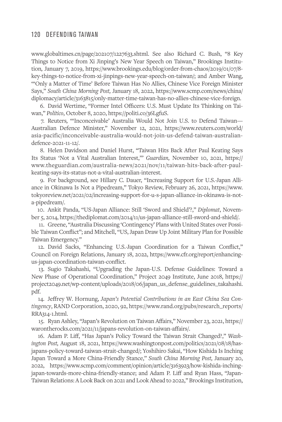[www.globaltimes.cn/page/202107/1227633.shtml.](https://www.globaltimes.cn/page/202107/1227633.shtml) See also Richard C. Bush, "8 Key Things to Notice from Xi Jinping's New Year Speech on Taiwan," Brookings Institution*,* January 7, 2019, [https://www.brookings.edu/blog/order-from-chaos/2019/01/07/8](https://www.brookings.edu/blog/order-from-chaos/2019/01/07/8-key-things-to-notice-from-xi-jinpings-new-year-speech-on-taiwan/) [key-things-to-notice-from-xi-jinpings-new-year-speech-on-taiwan/;](https://www.brookings.edu/blog/order-from-chaos/2019/01/07/8-key-things-to-notice-from-xi-jinpings-new-year-speech-on-taiwan/) and Amber Wang, "'Only a Matter of Time' Before Taiwan Has No Allies, Chinese Vice Foreign Minister Says," *South China Morning Post,* January 18, 2022, [https://www.scmp.com/news/china/](https://www.scmp.com/news/china/diplomacy/article/3163815/only-matter-time-taiwan-has-no-allies-chinese-vice-foreign?utm_source=rss_feed) [diplomacy/article/3163815/only-matter-time-taiwan-has-no-allies-chinese-vice-foreign.](https://www.scmp.com/news/china/diplomacy/article/3163815/only-matter-time-taiwan-has-no-allies-chinese-vice-foreign?utm_source=rss_feed)

6. David Wertime, "Former Intel Officers: U.S. Must Update Its Thinking on Taiwan," *Politico*, October 8, 2020, https://politi.co/36LgfuS.

7. Reuters*,* "'Inconceivable' Australia Would Not Join U.S. to Defend Taiwan— Australian Defence Minister," November 12, 2021, [https://www.reuters.com/world/](https://www.reuters.com/world/asia-pacific/inconceivable-australia-would-not-join-us-defend-taiwan-australian-defence-2021-11-12/) [asia-pacific/inconceivable-australia-would-not-join-us-defend-taiwan-australian](https://www.reuters.com/world/asia-pacific/inconceivable-australia-would-not-join-us-defend-taiwan-australian-defence-2021-11-12/)[defence-2021-11-12/](https://www.reuters.com/world/asia-pacific/inconceivable-australia-would-not-join-us-defend-taiwan-australian-defence-2021-11-12/).

8. Helen Davidson and Daniel Hurst, "Taiwan Hits Back After Paul Keating Says Its Status 'Not a Vital Australian Interest,'" *Guardian,* November 10, 2021, [https://](https://www.theguardian.com/australia-news/2021/nov/11/taiwan-hits-back-after-paul-keating-says-its-status-not-a-vital-australian-interest) [www.theguardian.com/australia-news/2021/nov/11/taiwan-hits-back-after-paul](https://www.theguardian.com/australia-news/2021/nov/11/taiwan-hits-back-after-paul-keating-says-its-status-not-a-vital-australian-interest)[keating-says-its-status-not-a-vital-australian-interest](https://www.theguardian.com/australia-news/2021/nov/11/taiwan-hits-back-after-paul-keating-says-its-status-not-a-vital-australian-interest).

9. For background, see Hillary C. Dauer, "Increasing Support for U.S.-Japan Alliance in Okinawa Is Not a Pipedream," Tokyo Review, February 26, 2021, https://www. tokyoreview.net/2021/02/increasing-support-for-u-s-japan-alliance-in-okinawa-is-nota-pipedream/.

10. Ankit Panda, "US-Japan Alliance: Still 'Sword and Shield'?," *Diplomat*, November 5, 2014, https://thediplomat.com/2014/11/us-japan-alliance-still-sword-and-shield/.

11. Greene, "Australia Discussing 'Contingency' Plans with United States over Possible Taiwan Conflict"; and Mitchell, "US, Japan Draw Up Joint Military Plan for Possible Taiwan Emergency."

12. David Sacks, "Enhancing U.S.-Japan Coordination for a Taiwan Conflict," Council on Foreign Relations, January 18, 2022, [https://www.cfr.org/report/enhancing](https://www.cfr.org/report/enhancing-us-japan-coordination-taiwan-conflict)[us-japan-coordination-taiwan-conflict.](https://www.cfr.org/report/enhancing-us-japan-coordination-taiwan-conflict)

13. Sugio Takahashi, "Upgrading the Japan-U.S. Defense Guidelines: Toward a New Phase of Operational Coordination," Project 2049 Institute, June 2018, https:// project2049.net/wp-content/uploads/2018/06/japan\_us\_defense\_guidelines\_takahashi. pdf.

14. Jeffrey W. Hornung, *Japan's Potential Contributions in an East China Sea Contingency*, RAND Corporation, 2020, 92, https://www.rand.org/pubs/research\_reports/ RRA314-1.html.

15. Ryan Ashley, "Japan's Revolution on Taiwan Affairs," November 23, 2021, [https://](https://warontherocks.com/2021/11/japans-revolution-on-taiwan-affairs/) [warontherocks.com/2021/11/japans-revolution-on-taiwan-affairs/](https://warontherocks.com/2021/11/japans-revolution-on-taiwan-affairs/).

16. Adam P. Liff, "Has Japan's Policy Toward the Taiwan Strait Changed?," *Washington Post,* August 18, 2021, [https://www.washingtonpost.com/politics/2021/08/18/has](https://www.washingtonpost.com/politics/2021/08/18/has-japans-policy-toward-taiwan-strait-changed/)[japans-policy-toward-taiwan-strait-changed/;](https://www.washingtonpost.com/politics/2021/08/18/has-japans-policy-toward-taiwan-strait-changed/) Yoshihiro Sakai, "How Kishida Is Inching Japan Toward a More China-Friendly Stance," *South China Morning Post,* January 20, 2022, [https://www.scmp.com/comment/opinion/article/3163923/how-kishida-inching](https://www.scmp.com/comment/opinion/article/3163923/how-kishida-inching-japan-towards-more-china-friendly-stance?utm)[japan-towards-more-china-friendly-stance](https://www.scmp.com/comment/opinion/article/3163923/how-kishida-inching-japan-towards-more-china-friendly-stance?utm); and Adam P. Liff and Ryan Hass, "Japan-Taiwan Relations: A Look Back on 2021 and Look Ahead to 2022," Brookings Institution,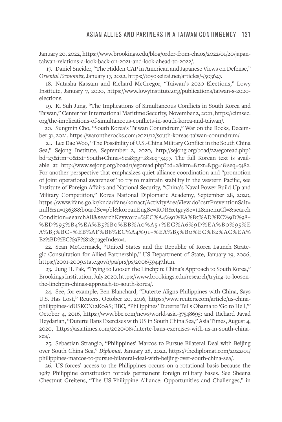January 20, 2022, [https://www.brookings.edu/blog/order-from-chaos/2022/01/20/japan](https://www.brookings.edu/blog/order-from-chaos/2022/01/20/japan-taiwan-relations-a-look-back-on-2021-and-look-ahead-to-2022/)[taiwan-relations-a-look-back-on-2021-and-look-ahead-to-2022/](https://www.brookings.edu/blog/order-from-chaos/2022/01/20/japan-taiwan-relations-a-look-back-on-2021-and-look-ahead-to-2022/).

17. Daniel Sneider, "The Hidden GAP in American and Japanese Views on Defense," *Oriental Economist,* January 17, 2022, [https://toyokeizai.net/articles/-/503647.](https://toyokeizai.net/articles/-/503647)

18. Natasha Kassam and Richard McGregor, "Taiwan's 2020 Elections," Lowy Institute, January 7, 2020, https://www.lowyinstitute.org/publications/taiwan-s-2020 elections.

19. Ki Suh Jung, "The Implications of Simultaneous Conflicts in South Korea and Taiwan," Center for International Maritime Security*,* November 2, 2021, [https://cimsec.](https://cimsec.org/the-implications-of-simultaneous-conflicts-in-south-korea-and-taiwan/) [org/the-implications-of-simultaneous-conflicts-in-south-korea-and-taiwan/.](https://cimsec.org/the-implications-of-simultaneous-conflicts-in-south-korea-and-taiwan/)

20. Sungmin Cho, "South Korea's Taiwan Conundrum," War on the Rocks*,* December 31, 2021, [https://warontherocks.com/2021/12/south-koreas-taiwan-conundrum/.](https://warontherocks.com/2021/12/south-koreas-taiwan-conundrum/)

21. Lee Dae Woo, "The Possibility of U.S.-China Military Conflict in the South China Sea," Sejong Institute, September 2, 2020, [http://sejong.org/boad/22/egoread.php?](http://sejong.org/boad/22/egoread.php?bd=23&itm=0&txt=South+China+Sea&pg=1&seq=5497) [bd=23&itm=0&txt=South+China+Sea&pg=1&seq=5497.](http://sejong.org/boad/22/egoread.php?bd=23&itm=0&txt=South+China+Sea&pg=1&seq=5497) The full Korean text is available at [http://www.sejong.org/boad/1/egoread.php?bd=2&itm=&txt=&pg=1&seq=5482.](http://www.sejong.org/boad/1/egoread.php?bd=2&itm=&txt=&pg=1&seq=5482) For another perspective that emphasizes quiet alliance coordination and "promotion of joint operational awareness" to try to maintain stability in the western Pacific, see Institute of Foreign Affairs and National Security, "China's Naval Power Build Up and Military Competition," Korea National Diplomatic Academy, September 28, 2020, https://www.ifans.go.kr/knda/ifans/kor/act/ActivityAreaView.do?csrfPreventionSalt= null&sn=13638&boardSe=pbl&koreanEngSe=KOR&ctgrySe=12&menuCl=&search Condition=searchAll&searchKeyword=%EC%A4%91%EA%B5%AD%EC%9D%98+ %ED%95%B4%EA%B5%B0%EB%A0%A5+%EC%A6%9D%EA%B0%95%E A%B3%BC+%EB%AF%B8%EC%A4%91+%EA%B5%B0%EC%82%AC%EA% B2%BD%EC%9F%81&pageIndex=1.

22. Sean McCormack, "United States and the Republic of Korea Launch Strategic Consultation for Allied Partnership," US Department of State, January 19, 2006, [https://2001-2009.state.gov/r/pa/prs/ps/2006/59447.htm.](https://2001-2009.state.gov/r/pa/prs/ps/2006/59447.htm)

23. Jung H. Pak, "Trying to Loosen the Linchpin: China's Approach to South Korea," Brookings Institution, July 2020, https://www.brookings.edu/research/trying-to-loosenthe-linchpin-chinas-approach-to-south-korea/.

24. See, for example, Ben Blanchard, "Duterte Aligns Philippines with China, Says U.S. Has Lost," Reuters, October 20, 2016, [https://www.reuters.com/article/us-china](https://www.reuters.com/article/us-china-philippines-idUSKCN12K0AS)[philippines-idUSKCN12K0AS;](https://www.reuters.com/article/us-china-philippines-idUSKCN12K0AS) BBC, "Philippines' Duterte Tells Obama to 'Go to Hell,'" October 4, 2016, <https://www.bbc.com/news/world-asia-37548695>; and Richard Javad Heydarian, "Duterte Bans Exercises with US in South China Sea," Asia Times, August 4, 2020, https://asiatimes.com/2020/08/duterte-bans-exercises-with-us-in-south-chinasea/.

25. Sebastian Strangio, "Philippines' Marcos to Pursue Bilateral Deal with Beijing over South China Sea," *Diplomat,* January 28, 2022, [https://thediplomat.com/2022/01/](https://thediplomat.com/2022/01/philippines-marcos-to-pursue-bilateral-deal-with-beijing-over-south-china-sea/) [philippines-marcos-to-pursue-bilateral-deal-with-beijing-over-south-china-sea/](https://thediplomat.com/2022/01/philippines-marcos-to-pursue-bilateral-deal-with-beijing-over-south-china-sea/).

26. US forces' access to the Philippines occurs on a rotational basis because the 1987 Philippine constitution forbids permanent foreign military bases. See Sheena Chestnut Greitens, "The US-Philippine Alliance: Opportunities and Challenges," in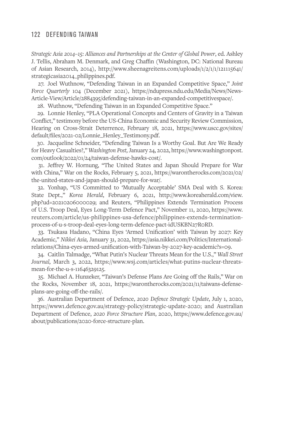*Strategic Asia 2014–15: Alliances and Partnerships at the Center of Global Power*, ed. Ashley J. Tellis, Abraham M. Denmark, and Greg Chaffin (Washington, DC: National Bureau of Asian Research, 2014), http://www.sheenagreitens.com/uploads/1/2/1/1/121115641/ strategicasia2014\_philippines.pdf.

27. Joel Wuthnow, "Defending Taiwan in an Expanded Competitive Space," *Joint Force Quarterly* 104 (December 2021), https://ndupress.ndu.edu/Media/News/News-Article-View/Article/2884395/defending-taiwan-in-an-expanded-competitivespace/.

28. Wuthnow, "Defending Taiwan in an Expanded Competitive Space."

29. Lonnie Henley, "PLA Operational Concepts and Centers of Gravity in a Taiwan Conflict," testimony before the US-China Economic and Security Review Commission, Hearing on Cross-Strait Deterrence, February 18, 2021, https://www.uscc.gov/sites/ default/files/2021-02/Lonnie\_Henley\_Testimony.pdf.

30. Jacqueline Schneider, "Defending Taiwan Is a Worthy Goal. But Are We Ready for Heavy Casualties?," *Washington Post,* January 24, 2022, [https://www.washingtonpost.](https://www.washingtonpost.com/outlook/2022/01/24/taiwan-defense-hawks-cost/) [com/outlook/2022/01/24/taiwan-defense-hawks-cost/.](https://www.washingtonpost.com/outlook/2022/01/24/taiwan-defense-hawks-cost/)

31. Jeffrey W. Hornung, "The United States and Japan Should Prepare for War with China," War on the Rocks, February 5, 2021, https://warontherocks.com/2021/02/ the-united-states-and-japan-should-prepare-for-war/.

32. Yonhap, "US Committed to 'Mutually Acceptable' SMA Deal with S. Korea: State Dept.," *Korea Herald*, February 6, 2021, [http://www.koreaherald.com/view.](http://www.koreaherald.com/view.php?ud=20210206000029) [php?ud=20210206000029;](http://www.koreaherald.com/view.php?ud=20210206000029) and Reuters, "Philippines Extends Termination Process of U.S. Troop Deal, Eyes Long-Term Defence Pact," November 11, 2020, [https://www.](https://www.reuters.com/article/us-philippines-usa-defence/philippines-extends-termination-process-of-u-s-troop-deal-eyes-long-term-defence-pact-idUSKBN27R0RD) [reuters.com/article/us-philippines-usa-defence/philippines-extends-termination](https://www.reuters.com/article/us-philippines-usa-defence/philippines-extends-termination-process-of-u-s-troop-deal-eyes-long-term-defence-pact-idUSKBN27R0RD)[process-of-u-s-troop-deal-eyes-long-term-defence-pact-idUSKBN27R0RD](https://www.reuters.com/article/us-philippines-usa-defence/philippines-extends-termination-process-of-u-s-troop-deal-eyes-long-term-defence-pact-idUSKBN27R0RD).

33. Tsukasa Hadano, "China Eyes 'Armed Unification' with Taiwan by 2027: Key Academic," *Nikkei Asia,* January 31, 2022, [https://asia.nikkei.com/Politics/International](https://asia.nikkei.com/Politics/International-relations/China-eyes-armed-unification-with-Taiwan-by-2027-key-academic?s=09)[relations/China-eyes-armed-unification-with-Taiwan-by-2027-key-academic?s=09](https://asia.nikkei.com/Politics/International-relations/China-eyes-armed-unification-with-Taiwan-by-2027-key-academic?s=09).

34. Caitlin Talmadge, "What Putin's Nuclear Threats Mean for the U.S.," *Wall Street Journal,* March 3, 2022, https://www.wsj.com/articles/what-putins-nuclear-threatsmean-for-the-u-s-11646329125.

35. Michael A. Hunzeker, "Taiwan's Defense Plans Are Going off the Rails," War on the Rocks, November 18, 2021, https://warontherocks.com/2021/11/taiwans-defenseplans-are-going-off-the-rails/.

36. Australian Department of Defence, *2020 Defence Strategic Update*, July 1, 2020, [https://www1.defence.gov.au/strategy-policy/strategic-update-2020;](https://www1.defence.gov.au/strategy-policy/strategic-update-2020) and Australian Department of Defence, *2020 Force Structure Plan*, 2020, https://www.defence.gov.au/ about/publications/2020-force-structure-plan.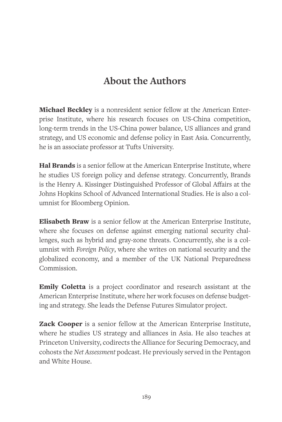## **About the Authors**

Michael Beckley is a nonresident senior fellow at the American Enterprise Institute, where his research focuses on US-China competition, long-term trends in the US-China power balance, US alliances and grand strategy, and US economic and defense policy in East Asia. Concurrently, he is an associate professor at Tufts University.

Hal Brands is a senior fellow at the American Enterprise Institute, where he studies US foreign policy and defense strategy. Concurrently, Brands is the Henry A. Kissinger Distinguished Professor of Global Affairs at the Johns Hopkins School of Advanced International Studies. He is also a columnist for Bloomberg Opinion.

Elisabeth Braw is a senior fellow at the American Enterprise Institute, where she focuses on defense against emerging national security challenges, such as hybrid and gray-zone threats. Concurrently, she is a columnist with *Foreign Policy*, where she writes on national security and the globalized economy, and a member of the UK National Preparedness Commission.

**Emily Coletta** is a project coordinator and research assistant at the American Enterprise Institute, where her work focuses on defense budgeting and strategy. She leads the Defense Futures Simulator project.

**Zack Cooper** is a senior fellow at the American Enterprise Institute, where he studies US strategy and alliances in Asia. He also teaches at Princeton University, codirects the Alliance for Securing Democracy, and cohosts the *Net Assessment* podcast. He previously served in the Pentagon and White House.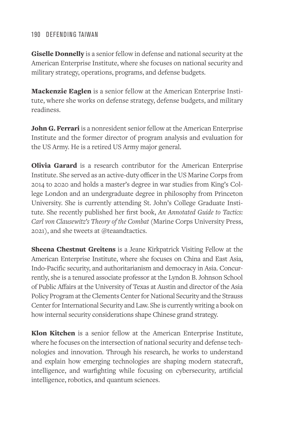**Giselle Donnelly** is a senior fellow in defense and national security at the American Enterprise Institute, where she focuses on national security and military strategy, operations, programs, and defense budgets.

**Mackenzie Eaglen** is a senior fellow at the American Enterprise Institute, where she works on defense strategy, defense budgets, and military readiness.

John G. Ferrari is a nonresident senior fellow at the American Enterprise Institute and the former director of program analysis and evaluation for the US Army. He is a retired US Army major general.

**Olivia Garard** is a research contributor for the American Enterprise Institute. She served as an active-duty officer in the US Marine Corps from 2014 to 2020 and holds a master's degree in war studies from King's College London and an undergraduate degree in philosophy from Princeton University. She is currently attending St. John's College Graduate Institute. She recently published her first book, *An Annotated Guide to Tactics: Carl von Clausewitz's Theory of the Combat* (Marine Corps University Press, 2021), and she tweets at @teaandtactics.

**Sheena Chestnut Greitens** is a Jeane Kirkpatrick Visiting Fellow at the American Enterprise Institute, where she focuses on China and East Asia, Indo-Pacific security, and authoritarianism and democracy in Asia. Concurrently, she is a tenured associate professor at the Lyndon B. Johnson School of Public Affairs at the University of Texas at Austin and director of the Asia Policy Program at the Clements Center for National Security and the Strauss Center for International Security and Law. She is currently writing a book on how internal security considerations shape Chinese grand strategy.

Klon Kitchen is a senior fellow at the American Enterprise Institute, where he focuses on the intersection of national security and defense technologies and innovation. Through his research, he works to understand and explain how emerging technologies are shaping modern statecraft, intelligence, and warfighting while focusing on cybersecurity, artificial intelligence, robotics, and quantum sciences.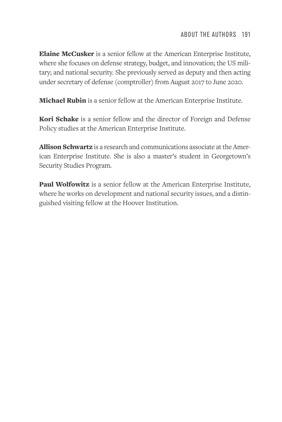Elaine McCusker is a senior fellow at the American Enterprise Institute, where she focuses on defense strategy, budget, and innovation; the US military; and national security. She previously served as deputy and then acting under secretary of defense (comptroller) from August 2017 to June 2020.

Michael Rubin is a senior fellow at the American Enterprise Institute.

**Kori Schake** is a senior fellow and the director of Foreign and Defense Policy studies at the American Enterprise Institute.

Allison Schwartz is a research and communications associate at the American Enterprise Institute. She is also a master's student in Georgetown's Security Studies Program.

Paul Wolfowitz is a senior fellow at the American Enterprise Institute, where he works on development and national security issues, and a distinguished visiting fellow at the Hoover Institution.